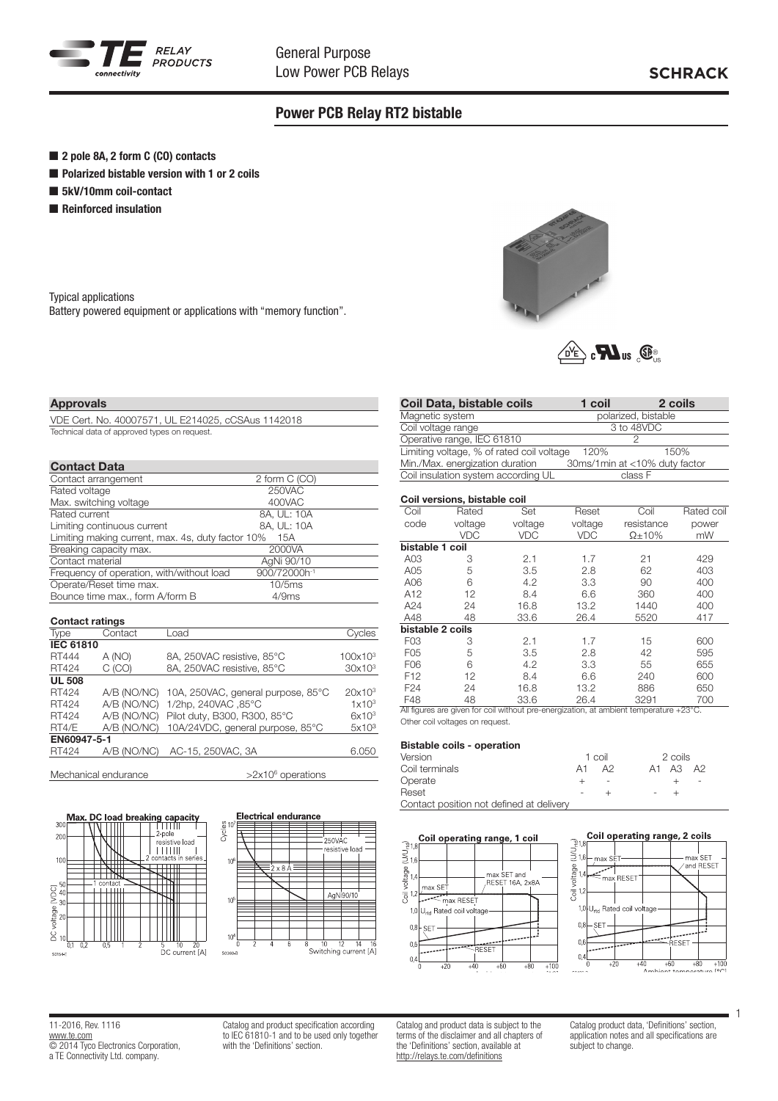

# Power PCB Relay RT2 bistable

- 2 pole 8A, 2 form C (CO) contacts
- Polarized bistable version with 1 or 2 coils
- 5kV/10mm coil-contact
- **n** Reinforced insulation

Typical applications Battery powered equipment or applications with "memory function".



| $\sqrt{d^2}$ $\epsilon$ $\mathbf{M}$ us<br>$\mathbb{G}$ |  |
|---------------------------------------------------------|--|
|---------------------------------------------------------|--|

#### Coil versions, bistable coil

| Coil              | Rated        | Set                   | Reset      | Coil           | Rated coil  |
|-------------------|--------------|-----------------------|------------|----------------|-------------|
| code              | voltage      | voltage               | voltage    | resistance     | power       |
|                   | <b>VDC</b>   | <b>VDC</b>            | <b>VDC</b> | $\Omega$ + 10% | mW          |
| bistable 1 coil   |              |                       |            |                |             |
| A03               | 3            | 2.1                   | 1.7        | 21             | 429         |
| A05               | 5            | 3.5                   | 2.8        | 62             | 403         |
| A06               | 6            | 4.2                   | 3.3        | 90             | 400         |
| A12               | 12           | 8.4                   | 6.6        | 360            | 400         |
| A24               | 24           | 16.8                  | 13.2       | 1440           | 400         |
| A48               | 48           | 33.6                  | 26.4       | 5520           | 417         |
| bistable 2 coils  |              |                       |            |                |             |
| F <sub>03</sub>   | 3            | 2.1                   | 1.7        | 15             | 600         |
| F <sub>05</sub>   | 5            | 3.5                   | 2.8        | 42             | 595         |
| F06               | 6            | 4.2                   | 3.3        | 55             | 655         |
| F <sub>12</sub>   | 12           | 8.4                   | 6.6        | 240            | 600         |
| F <sub>24</sub>   | 24           | 16.8                  | 13.2       | 886            | 650         |
| F48<br>$A \cup C$ | 48<br>$\sim$ | 33.6<br>$\sim$ $\sim$ | 26.4       | 3291<br>.      | 700<br>0000 |

All figures are given for coil without pre-energization, at ambient temperature +23°C. Other coil voltages on request.

### Bistable coils - operation

| Version                                  |    | 1 coil | 2 coils           |      |
|------------------------------------------|----|--------|-------------------|------|
| Coil terminals                           | A1 | A2     | A1 A3             | - A2 |
| Operate                                  |    |        |                   |      |
| Reset                                    |    |        | $\qquad \qquad -$ |      |
| Contact position not defined at delivery |    |        |                   |      |





11-2016, Rev. 1116 www.te.com **COMPLETED** Electronics Corporation, a TE Connectivity Ltd. company.

Catalog and product specification according to IEC 61810-1 and to be used only together with the 'Definitions' section.

Catalog and product data is subject to the terms of the disclaimer and all chapters of the 'Definitions' section, available at http://relays.te.com/definitions

Catalog product data, 'Definitions' section, application notes and all specifications are subject to change.

1

# VDE Cert. No. 40007571, UL E214025, cCSAus 1142018 Technical data of approved types on request.

## Contact Data

Approvals

| oonaat pata                                       |                          |  |
|---------------------------------------------------|--------------------------|--|
| Contact arrangement                               | 2 form C (CO)            |  |
| Rated voltage                                     | 250VAC                   |  |
| Max. switching voltage                            | 400VAC                   |  |
| Rated current                                     | 8A, UL: 10A              |  |
| Limiting continuous current                       | 8A, UL: 10A              |  |
| Limiting making current, max. 4s, duty factor 10% | 15A                      |  |
| Breaking capacity max.                            | 2000VA                   |  |
| Contact material                                  | AgNi 90/10               |  |
| Frequency of operation, with/without load         | 900/72000h <sup>-1</sup> |  |
| Operate/Reset time max.                           | 10/5ms                   |  |
| Bounce time max., form A/form B                   | 4/9ms                    |  |

## Contact ratings

| <b>Type</b>      | Contact     | Load                                           | Cycles              |
|------------------|-------------|------------------------------------------------|---------------------|
| <b>IEC 61810</b> |             |                                                |                     |
| RT444            | A (NO)      | 8A, 250VAC resistive, 85°C                     | 100x10 <sup>3</sup> |
| RT424            | C (CO)      | 8A, 250VAC resistive, 85°C                     | 30x10 <sup>3</sup>  |
| <b>UL 508</b>    |             |                                                |                     |
| RT424            |             | A/B (NO/NC) 10A, 250VAC, general purpose, 85°C | $20x10^3$           |
| RT424            |             | A/B (NO/NC) 1/2hp, 240VAC, 85°C                | $1 \times 10^3$     |
| RT424            |             | A/B (NO/NC) Pilot duty, B300, R300, 85°C       | $6x10^3$            |
| RT4/E            |             | A/B (NO/NC) 10A/24VDC, general purpose, 85°C   | 5x10 <sup>3</sup>   |
| EN60947-5-1      |             |                                                |                     |
| RT424            | A/B (NO/NC) | AC-15, 250VAC, 3A                              | 6.050               |
|                  |             |                                                |                     |

.<br>2-pole

**TELLIT** 

 $\overline{+}\overline{+}\overline{+}$ 

Ш

resistive Inac

Mechanical endurance

 $Man$ 

 $30^{\circ}$  $\overline{20}$ 

 $10$ 

 $\sum_{\alpha}^{10}$ 

voltage

 $\overline{a}$  10

 $rac{1}{2}$ 

 $>2x10^6$  operations